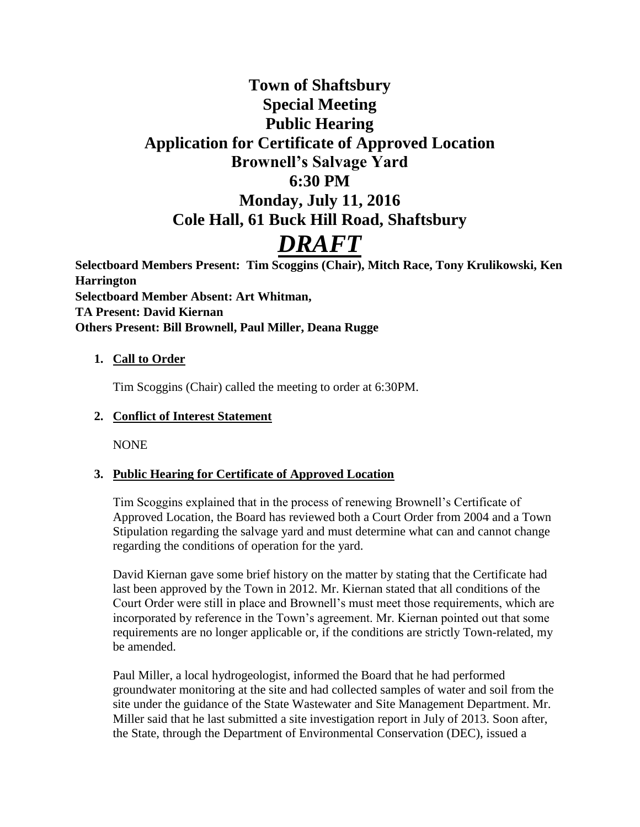# **Town of Shaftsbury Special Meeting Public Hearing Application for Certificate of Approved Location Brownell's Salvage Yard 6:30 PM Monday, July 11, 2016 Cole Hall, 61 Buck Hill Road, Shaftsbury** *DRAFT*

**Selectboard Members Present: Tim Scoggins (Chair), Mitch Race, Tony Krulikowski, Ken Harrington Selectboard Member Absent: Art Whitman, TA Present: David Kiernan Others Present: Bill Brownell, Paul Miller, Deana Rugge**

#### **1. Call to Order**

Tim Scoggins (Chair) called the meeting to order at 6:30PM.

### **2. Conflict of Interest Statement**

NONE

# **3. Public Hearing for Certificate of Approved Location**

Tim Scoggins explained that in the process of renewing Brownell's Certificate of Approved Location, the Board has reviewed both a Court Order from 2004 and a Town Stipulation regarding the salvage yard and must determine what can and cannot change regarding the conditions of operation for the yard.

David Kiernan gave some brief history on the matter by stating that the Certificate had last been approved by the Town in 2012. Mr. Kiernan stated that all conditions of the Court Order were still in place and Brownell's must meet those requirements, which are incorporated by reference in the Town's agreement. Mr. Kiernan pointed out that some requirements are no longer applicable or, if the conditions are strictly Town-related, my be amended.

Paul Miller, a local hydrogeologist, informed the Board that he had performed groundwater monitoring at the site and had collected samples of water and soil from the site under the guidance of the State Wastewater and Site Management Department. Mr. Miller said that he last submitted a site investigation report in July of 2013. Soon after, the State, through the Department of Environmental Conservation (DEC), issued a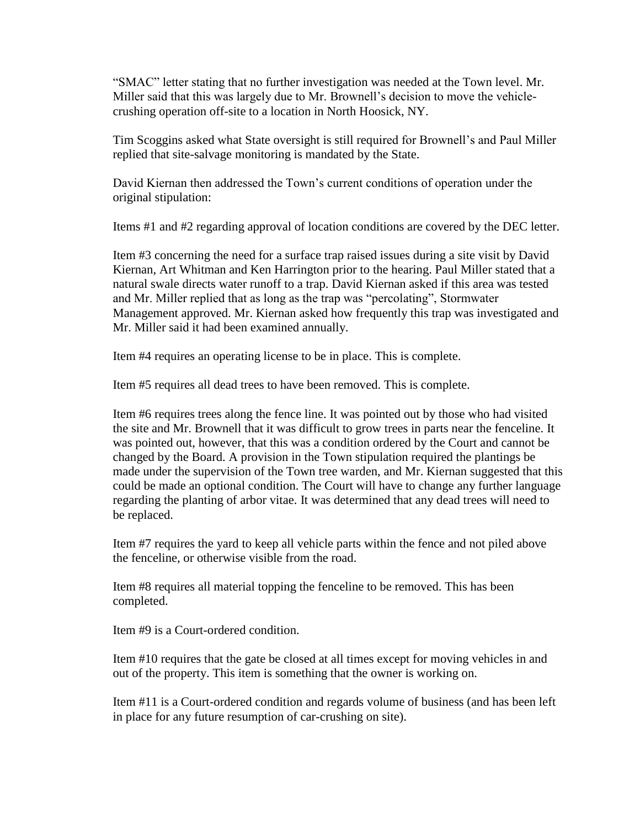"SMAC" letter stating that no further investigation was needed at the Town level. Mr. Miller said that this was largely due to Mr. Brownell's decision to move the vehiclecrushing operation off-site to a location in North Hoosick, NY.

Tim Scoggins asked what State oversight is still required for Brownell's and Paul Miller replied that site-salvage monitoring is mandated by the State.

David Kiernan then addressed the Town's current conditions of operation under the original stipulation:

Items #1 and #2 regarding approval of location conditions are covered by the DEC letter.

Item #3 concerning the need for a surface trap raised issues during a site visit by David Kiernan, Art Whitman and Ken Harrington prior to the hearing. Paul Miller stated that a natural swale directs water runoff to a trap. David Kiernan asked if this area was tested and Mr. Miller replied that as long as the trap was "percolating", Stormwater Management approved. Mr. Kiernan asked how frequently this trap was investigated and Mr. Miller said it had been examined annually.

Item #4 requires an operating license to be in place. This is complete.

Item #5 requires all dead trees to have been removed. This is complete.

Item #6 requires trees along the fence line. It was pointed out by those who had visited the site and Mr. Brownell that it was difficult to grow trees in parts near the fenceline. It was pointed out, however, that this was a condition ordered by the Court and cannot be changed by the Board. A provision in the Town stipulation required the plantings be made under the supervision of the Town tree warden, and Mr. Kiernan suggested that this could be made an optional condition. The Court will have to change any further language regarding the planting of arbor vitae. It was determined that any dead trees will need to be replaced.

Item #7 requires the yard to keep all vehicle parts within the fence and not piled above the fenceline, or otherwise visible from the road.

Item #8 requires all material topping the fenceline to be removed. This has been completed.

Item #9 is a Court-ordered condition.

Item #10 requires that the gate be closed at all times except for moving vehicles in and out of the property. This item is something that the owner is working on.

Item #11 is a Court-ordered condition and regards volume of business (and has been left in place for any future resumption of car-crushing on site).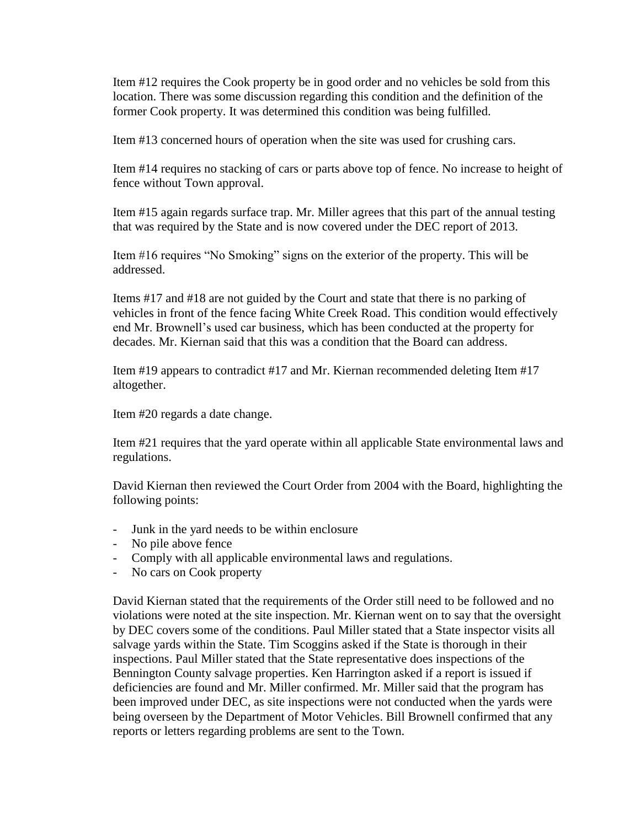Item #12 requires the Cook property be in good order and no vehicles be sold from this location. There was some discussion regarding this condition and the definition of the former Cook property. It was determined this condition was being fulfilled.

Item #13 concerned hours of operation when the site was used for crushing cars.

Item #14 requires no stacking of cars or parts above top of fence. No increase to height of fence without Town approval.

Item #15 again regards surface trap. Mr. Miller agrees that this part of the annual testing that was required by the State and is now covered under the DEC report of 2013.

Item #16 requires "No Smoking" signs on the exterior of the property. This will be addressed.

Items #17 and #18 are not guided by the Court and state that there is no parking of vehicles in front of the fence facing White Creek Road. This condition would effectively end Mr. Brownell's used car business, which has been conducted at the property for decades. Mr. Kiernan said that this was a condition that the Board can address.

Item #19 appears to contradict #17 and Mr. Kiernan recommended deleting Item #17 altogether.

Item #20 regards a date change.

Item #21 requires that the yard operate within all applicable State environmental laws and regulations.

David Kiernan then reviewed the Court Order from 2004 with the Board, highlighting the following points:

- Junk in the yard needs to be within enclosure
- No pile above fence
- Comply with all applicable environmental laws and regulations.
- No cars on Cook property

David Kiernan stated that the requirements of the Order still need to be followed and no violations were noted at the site inspection. Mr. Kiernan went on to say that the oversight by DEC covers some of the conditions. Paul Miller stated that a State inspector visits all salvage yards within the State. Tim Scoggins asked if the State is thorough in their inspections. Paul Miller stated that the State representative does inspections of the Bennington County salvage properties. Ken Harrington asked if a report is issued if deficiencies are found and Mr. Miller confirmed. Mr. Miller said that the program has been improved under DEC, as site inspections were not conducted when the yards were being overseen by the Department of Motor Vehicles. Bill Brownell confirmed that any reports or letters regarding problems are sent to the Town.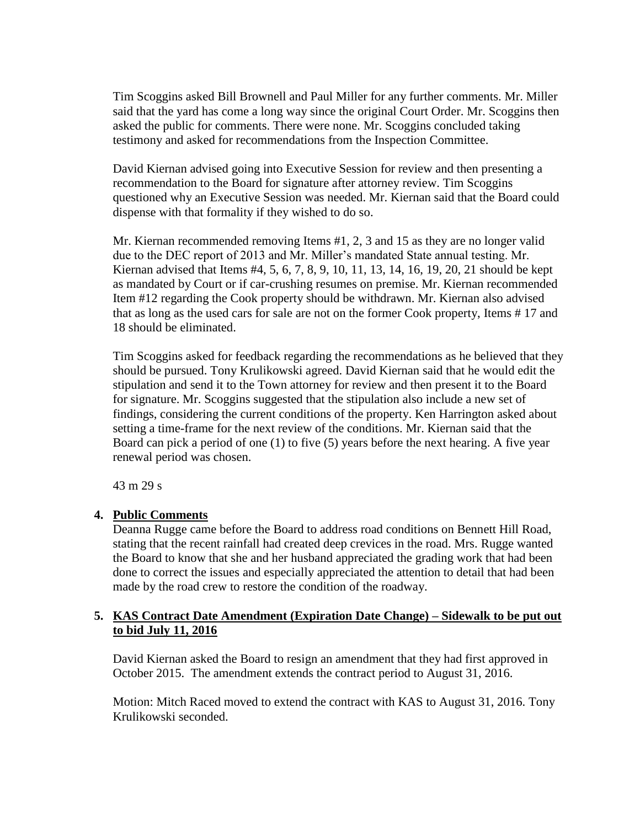Tim Scoggins asked Bill Brownell and Paul Miller for any further comments. Mr. Miller said that the yard has come a long way since the original Court Order. Mr. Scoggins then asked the public for comments. There were none. Mr. Scoggins concluded taking testimony and asked for recommendations from the Inspection Committee.

David Kiernan advised going into Executive Session for review and then presenting a recommendation to the Board for signature after attorney review. Tim Scoggins questioned why an Executive Session was needed. Mr. Kiernan said that the Board could dispense with that formality if they wished to do so.

Mr. Kiernan recommended removing Items #1, 2, 3 and 15 as they are no longer valid due to the DEC report of 2013 and Mr. Miller's mandated State annual testing. Mr. Kiernan advised that Items #4, 5, 6, 7, 8, 9, 10, 11, 13, 14, 16, 19, 20, 21 should be kept as mandated by Court or if car-crushing resumes on premise. Mr. Kiernan recommended Item #12 regarding the Cook property should be withdrawn. Mr. Kiernan also advised that as long as the used cars for sale are not on the former Cook property, Items # 17 and 18 should be eliminated.

Tim Scoggins asked for feedback regarding the recommendations as he believed that they should be pursued. Tony Krulikowski agreed. David Kiernan said that he would edit the stipulation and send it to the Town attorney for review and then present it to the Board for signature. Mr. Scoggins suggested that the stipulation also include a new set of findings, considering the current conditions of the property. Ken Harrington asked about setting a time-frame for the next review of the conditions. Mr. Kiernan said that the Board can pick a period of one (1) to five (5) years before the next hearing. A five year renewal period was chosen.

43 m 29 s

# **4. Public Comments**

Deanna Rugge came before the Board to address road conditions on Bennett Hill Road, stating that the recent rainfall had created deep crevices in the road. Mrs. Rugge wanted the Board to know that she and her husband appreciated the grading work that had been done to correct the issues and especially appreciated the attention to detail that had been made by the road crew to restore the condition of the roadway.

## **5. KAS Contract Date Amendment (Expiration Date Change) – Sidewalk to be put out to bid July 11, 2016**

David Kiernan asked the Board to resign an amendment that they had first approved in October 2015. The amendment extends the contract period to August 31, 2016.

Motion: Mitch Raced moved to extend the contract with KAS to August 31, 2016. Tony Krulikowski seconded.